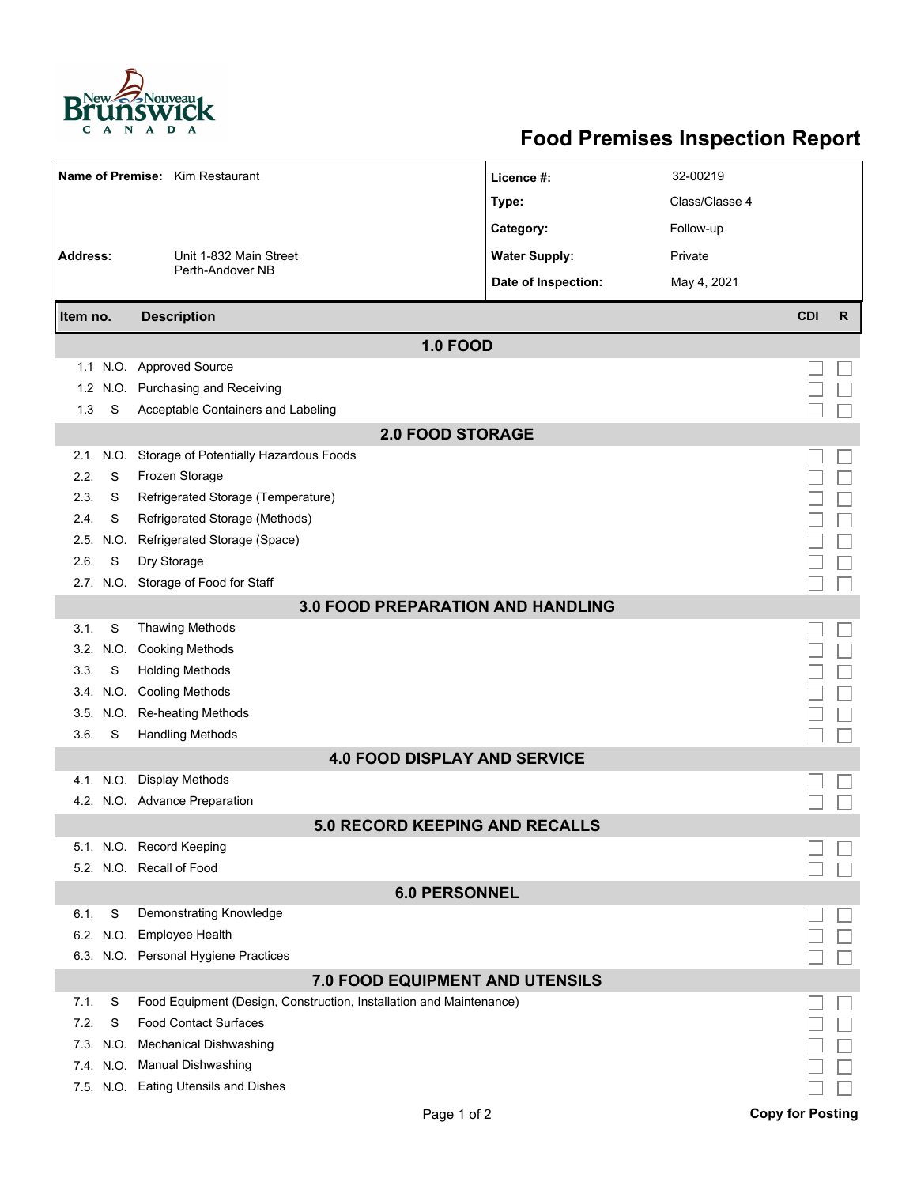

## **Food Premises Inspection Report**

| Name of Premise: Kim Restaurant          |           |                                                                     | Licence #:           | 32-00219       |            |   |  |  |  |  |
|------------------------------------------|-----------|---------------------------------------------------------------------|----------------------|----------------|------------|---|--|--|--|--|
|                                          |           |                                                                     | Type:                | Class/Classe 4 |            |   |  |  |  |  |
|                                          |           |                                                                     | Category:            | Follow-up      |            |   |  |  |  |  |
| Address:                                 |           | Unit 1-832 Main Street                                              | <b>Water Supply:</b> | Private        |            |   |  |  |  |  |
|                                          |           | Perth-Andover NB                                                    | Date of Inspection:  | May 4, 2021    |            |   |  |  |  |  |
|                                          |           |                                                                     |                      |                |            |   |  |  |  |  |
| Item no.                                 |           | <b>Description</b>                                                  |                      |                | <b>CDI</b> | R |  |  |  |  |
|                                          |           | <b>1.0 FOOD</b>                                                     |                      |                |            |   |  |  |  |  |
|                                          |           | 1.1 N.O. Approved Source                                            |                      |                |            |   |  |  |  |  |
| 1.2                                      |           | N.O. Purchasing and Receiving                                       |                      |                |            |   |  |  |  |  |
| 1.3                                      | S         | Acceptable Containers and Labeling                                  |                      |                |            |   |  |  |  |  |
| <b>2.0 FOOD STORAGE</b>                  |           |                                                                     |                      |                |            |   |  |  |  |  |
|                                          | 2.1. N.O. | Storage of Potentially Hazardous Foods                              |                      |                |            |   |  |  |  |  |
| 2.2.                                     | S         | Frozen Storage                                                      |                      |                |            |   |  |  |  |  |
| 2.3.                                     | S         | Refrigerated Storage (Temperature)                                  |                      |                |            |   |  |  |  |  |
| 2.4.                                     | S         | Refrigerated Storage (Methods)                                      |                      |                |            |   |  |  |  |  |
|                                          | 2.5 N.O.  | Refrigerated Storage (Space)                                        |                      |                |            |   |  |  |  |  |
| 2.6.                                     | S         | Dry Storage                                                         |                      |                |            |   |  |  |  |  |
|                                          |           | 2.7. N.O. Storage of Food for Staff                                 |                      |                |            |   |  |  |  |  |
| <b>3.0 FOOD PREPARATION AND HANDLING</b> |           |                                                                     |                      |                |            |   |  |  |  |  |
| 3.1.                                     | S         | <b>Thawing Methods</b>                                              |                      |                |            |   |  |  |  |  |
|                                          | 3.2. N.O. | <b>Cooking Methods</b>                                              |                      |                |            |   |  |  |  |  |
| 3.3.                                     | S         | <b>Holding Methods</b>                                              |                      |                |            |   |  |  |  |  |
|                                          |           | 3.4. N.O. Cooling Methods                                           |                      |                |            |   |  |  |  |  |
|                                          | 3.5 N.O.  | Re-heating Methods                                                  |                      |                |            |   |  |  |  |  |
| 3.6.                                     | S         | <b>Handling Methods</b>                                             |                      |                |            |   |  |  |  |  |
| <b>4.0 FOOD DISPLAY AND SERVICE</b>      |           |                                                                     |                      |                |            |   |  |  |  |  |
|                                          |           | 4.1. N.O. Display Methods                                           |                      |                |            |   |  |  |  |  |
|                                          |           | 4.2. N.O. Advance Preparation                                       |                      |                |            |   |  |  |  |  |
|                                          |           | <b>5.0 RECORD KEEPING AND RECALLS</b>                               |                      |                |            |   |  |  |  |  |
|                                          |           | 5.1. N.O. Record Keeping                                            |                      |                |            |   |  |  |  |  |
|                                          |           | 5.2. N.O. Recall of Food                                            |                      |                |            |   |  |  |  |  |
| <b>6.0 PERSONNEL</b>                     |           |                                                                     |                      |                |            |   |  |  |  |  |
| 6.1.                                     | S         | Demonstrating Knowledge                                             |                      |                |            |   |  |  |  |  |
|                                          |           | 6.2. N.O. Employee Health                                           |                      |                |            |   |  |  |  |  |
|                                          |           | 6.3. N.O. Personal Hygiene Practices                                |                      |                |            |   |  |  |  |  |
| 7.0 FOOD EQUIPMENT AND UTENSILS          |           |                                                                     |                      |                |            |   |  |  |  |  |
| 7.1.                                     | S         | Food Equipment (Design, Construction, Installation and Maintenance) |                      |                |            |   |  |  |  |  |
| 7.2.                                     | S         | <b>Food Contact Surfaces</b>                                        |                      |                |            |   |  |  |  |  |
| 7.3.                                     | N.O.      | Mechanical Dishwashing                                              |                      |                |            |   |  |  |  |  |
|                                          |           | 7.4. N.O. Manual Dishwashing                                        |                      |                |            |   |  |  |  |  |
|                                          |           | 7.5. N.O. Eating Utensils and Dishes                                |                      |                |            |   |  |  |  |  |